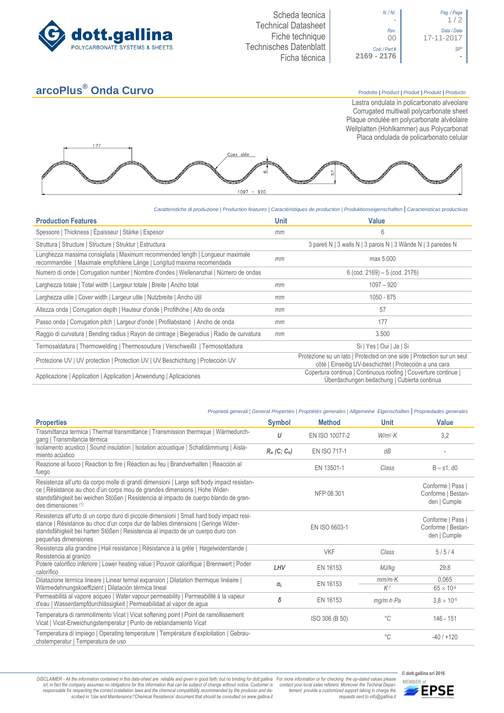



## **arcoPlus® Onda Curvo** *Prodotto <sup>|</sup> Product <sup>|</sup> Produit <sup>|</sup> Produkt <sup>|</sup> Producto*

Lastra ondulata in policarbonato alveolare Corrugated multiwall polycarbonate sheet Plaque ondulée en polycarbonate alvéolaire Wellplatten (Hohlkammer) aus Polycarbonat Placa ondulada de policarbonato celular



*Caratteristiche di produzione | Production features | Caractéristiques de production | Produktionseigenschaften* **|** *Caracteristicas productivas*

| <b>Production Features</b>                                                                                                                              | <b>Unit</b> | <b>Value</b>                                                                                                                      |  |  |
|---------------------------------------------------------------------------------------------------------------------------------------------------------|-------------|-----------------------------------------------------------------------------------------------------------------------------------|--|--|
| Spessore   Thickness   Épaisseur   Stärke   Espesor                                                                                                     | mm          | 6                                                                                                                                 |  |  |
| Struttura   Structure   Structure   Struktur   Estructura                                                                                               |             | 3 pareti N   3 walls N   3 parois N   3 Wände N   3 paredes N                                                                     |  |  |
| Lunghezza massima consigliata   Maximum recommended length   Longueur maximale<br>recommandée   Maximale empfohlene Länge   Longitud maxima recomendada | mm          | max 5.000                                                                                                                         |  |  |
| Numero di onde   Corrugation number   Nombre d'ondes   Wellenanzhal   Número de ondas                                                                   |             | $6$ (cod. 2169) $-5$ (cod. 2176)                                                                                                  |  |  |
| Larghezza totale   Total width   Largeur totale   Breite   Ancho total                                                                                  | mm          | $1097 - 920$                                                                                                                      |  |  |
| Larghezza utile   Cover width   Largeur utile   Nutzbreite   Ancho útil                                                                                 | mm          | $1050 - 875$                                                                                                                      |  |  |
| Altezza onda   Corrugation depth   Hauteur d'onde   Profilhöhe   Alto de onda                                                                           | mm          | 57                                                                                                                                |  |  |
| Passo onda   Corrugation pitch   Largeur d'onde   Profilabstand   Ancho de onda                                                                         | mт          | 177                                                                                                                               |  |  |
| Raggio di curvatura   Bending radius   Rayon de cintrage   Biegeradius   Radio de curvatura                                                             | mm          | 3.500                                                                                                                             |  |  |
| Termosaldatura   Thermowelding   Thermosoudure   Verschweißt   Termosoldadura                                                                           |             | Si   Yes   Oui   Ja   Si                                                                                                          |  |  |
| Protezione UV   UV protection   Protection UV   UV Beschichtung   Protección UV                                                                         |             | Protezione su un lato   Protected on one side   Protection sur un seul<br>côté   Einseitig UV-beschichtet   Protección a una cara |  |  |
| Applicazione   Application   Application   Anwendung   Aplicaciones                                                                                     |             | Copertura continua   Continuous roofing   Couverture continue  <br>Überdachungen bedachung   Cubierta continua                    |  |  |

## *Proprietà generali | General Properties | Propriétés generales | Allgemeine Eigenschaften* **|** *Propriedades generales*

| <b>Properties</b>                                                                                                                                                                                                                                                                          | <b>Symbol</b>  | <b>Method</b>  | <b>Unit</b>             | <b>Value</b>                                            |
|--------------------------------------------------------------------------------------------------------------------------------------------------------------------------------------------------------------------------------------------------------------------------------------------|----------------|----------------|-------------------------|---------------------------------------------------------|
| Trasmittanza termica   Thermal transmittance   Transmission thermique   Wärmedurch-<br>gang   Transmitancia térmica                                                                                                                                                                        | U              | EN ISO 10077-2 | $W/m^2$ K               | 3,2                                                     |
| Isolamento acustico   Sound insulation   Isolation acoustique   Schalldämmung   Aisla-<br>miento acústico                                                                                                                                                                                  | $R_w$ (C; Ctr) | EN ISO 717-1   | dB                      |                                                         |
| Reazione al fuoco   Reaction to fire   Réaction au feu   Brandverhalten   Reacción al<br>fuego                                                                                                                                                                                             |                | EN 13501-1     | Class                   | $B - s1$ , d $0$                                        |
| Resistenza all'urto da corpo molle di grandi dimensioni   Large soft body impact resistan-<br>ce   Résistance au choc d'un corps mou de grandes dimensions   Hohe Wider-<br>standsfähigkeit bei weichen Stößen   Resistencia al impacto de cuerpo blando de gran-<br>des dimensiones (1)   |                | NFP 08.301     |                         | Conforme   Pass  <br>Conforme   Bestan-<br>den   Cumple |
| Resistenza all'urto di un corpo duro di piccole dimensioni   Small hard body impact resi-<br>stance   Résistance au choc d'un corps dur de faibles dimensions   Geringe Wider-<br>standsfähigkeit bei harten Stößen   Resistencia al impacto de un cuerpo duro con<br>pequeñas dimensiones |                | EN ISO 6603-1  |                         | Conforme   Pass  <br>Conforme   Bestan-<br>den   Cumple |
| Resistenza alla grandine   Hail resistance   Résistance à la grêle   Hagelwiderstande  <br>Resistencia al granizo                                                                                                                                                                          |                | <b>VKF</b>     | Class                   | 5/5/4                                                   |
| Potere calorifico inferiore   Lower heating value   Pouvoir calorifique   Brennwert   Poder<br>calorífico                                                                                                                                                                                  | LHV            | EN 16153       | MJ/kg                   | 29,8                                                    |
| Dilatazione termica lineare   Linear termal expansion   Dilatation thermique linéaire  <br>Wärmedehnungskoeffizient   Dilatación térmica lineal                                                                                                                                            | $\alpha_L$     | EN 16153       | $mm/m$ K<br>$K-1$       | 0.065<br>$65 \times 10^{-6}$                            |
| Permeabilità al vapore acqueo   Water vapour permeability   Permeabilité à la vapeur<br>d'eau   Wasserdampfdurchlässigkeit   Permeabilidad al vapor de agua                                                                                                                                | δ              | EN 16153       | $mg/m \cdot h \cdot Pa$ | $3.8 \times 10^{-5}$                                    |
| Temperatura di rammollimento Vicat   Vicat softening point   Point de ramollissement<br>Vicat   Vicat-Erweichungstemperatur   Punto de reblandamiento Vicat                                                                                                                                |                | ISO 306 (B 50) | °C                      | $146 - 151$                                             |
| Temperatura di impiego   Operating temperature   Température d'exploitation   Gebrau-<br>chstemperatur   Temperatura de uso                                                                                                                                                                |                |                | °C                      | $-40/1+120$                                             |

DISCLAIMER - All the information contained in this data-sheet are reliable and given in good faith, but no binding for dott.gallina For more information or for checking the up-dated values please<br>-srl, in fact the company -responsable for respecting the correct installation laws and the chemical compatibility recommended by the producer and de-<br>scribed in 'Use and Maintenance'/'Chemical Resistence' document that should be consulted on www.g

*tement provide a customized support taking in charge the requests sent to info@gallina.it*



**MEMBER of**<br>**MEMBER of**